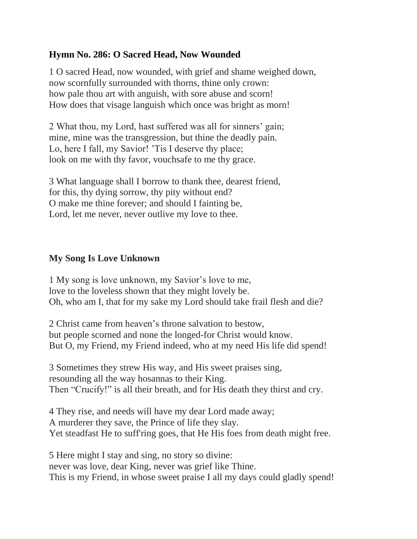## **Hymn No. 286: O Sacred Head, Now Wounded**

1 O sacred Head, now wounded, with grief and shame weighed down, now scornfully surrounded with thorns, thine only crown: how pale thou art with anguish, with sore abuse and scorn! How does that visage languish which once was bright as morn!

2 What thou, my Lord, hast suffered was all for sinners' gain; mine, mine was the transgression, but thine the deadly pain. Lo, here I fall, my Savior! 'Tis I deserve thy place; look on me with thy favor, vouchsafe to me thy grace.

3 What language shall I borrow to thank thee, dearest friend, for this, thy dying sorrow, thy pity without end? O make me thine forever; and should I fainting be, Lord, let me never, never outlive my love to thee.

## **My Song Is Love Unknown**

1 My song is love unknown, my Savior's love to me, love to the loveless shown that they might lovely be. Oh, who am I, that for my sake my Lord should take frail flesh and die?

2 Christ came from heaven's throne salvation to bestow, but people scorned and none the longed-for Christ would know. But O, my Friend, my Friend indeed, who at my need His life did spend!

3 Sometimes they strew His way, and His sweet praises sing, resounding all the way hosannas to their King. Then "Crucify!" is all their breath, and for His death they thirst and cry.

4 They rise, and needs will have my dear Lord made away; A murderer they save, the Prince of life they slay. Yet steadfast He to suff'ring goes, that He His foes from death might free.

5 Here might I stay and sing, no story so divine: never was love, dear King, never was grief like Thine. This is my Friend, in whose sweet praise I all my days could gladly spend!